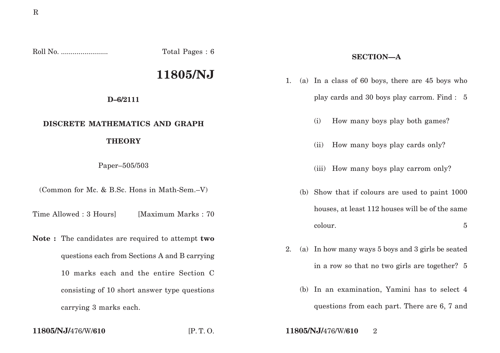Roll No. ........................ Total Pages : 6

# **11805/NJ**

#### **D–6/2111**

### **DISCRETE MATHEMATICS AND GRAPH**

#### **THEORY**

Paper–505/503

(Common for Mc. & B.Sc. Hons in Math-Sem.–V)

Time Allowed : 3 Hours [Maximum Marks : 70]

**Note :** The candidates are required to attempt **two** questions each from Sections A and B carrying 10 marks each and the entire Section C consisting of 10 short answer type questions carrying 3 marks each.

## **SECTION—A**

- 1. (a) In a class of 60 boys, there are 45 boys who play cards and 30 boys play carrom. Find : 5
	- (i) How many boys play both games?
	- (ii) How many boys play cards only?
	- (iii) How many boys play carrom only?
	- (b) Show that if colours are used to paint 1000 houses, at least 112 houses will be of the same colour. 5
- 2. (a) In how many ways 5 boys and 3 girls be seated in a row so that no two girls are together? 5
	- (b) In an examination, Yamini has to select 4 questions from each part. There are 6, 7 and

**11805/NJ/**476/W/**610** [P. T. O. **11805/NJ/**476/W/**610** 2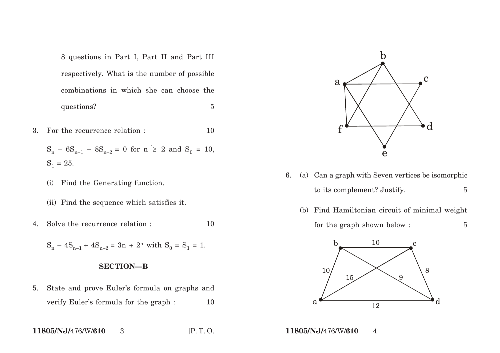8 questions in Part I, Part II and Part III respectively. What is the number of possible combinations in which she can choose the questions? 5

- 3. For the recurrence relation : 10
	- $S_n 6S_{n-1} + 8S_{n-2} = 0$  for  $n \ge 2$  and  $S_0 = 10$ ,  $S_1 = 25.$
	- (i) Find the Generating function.
	- (ii) Find the sequence which satisfies it.
- 4. Solve the recurrence relation :  $10$

 $S_n - 4S_{n-1} + 4S_{n-2} = 3n + 2^n$  with  $S_0 = S_1 = 1$ .

#### **SECTION—B**

5. State and prove Euler's formula on graphs and verify Euler's formula for the graph : 10

$$
11805/NJ/476/W/610 3 [P. T. O.
$$



- 6. (a) Can a graph with Seven vertices be isomorphic to its complement? Justify. 5
	- (b) Find Hamiltonian circuit of minimal weight for the graph shown below :  $5$



**11805/NJ/**476/W/**610** 4